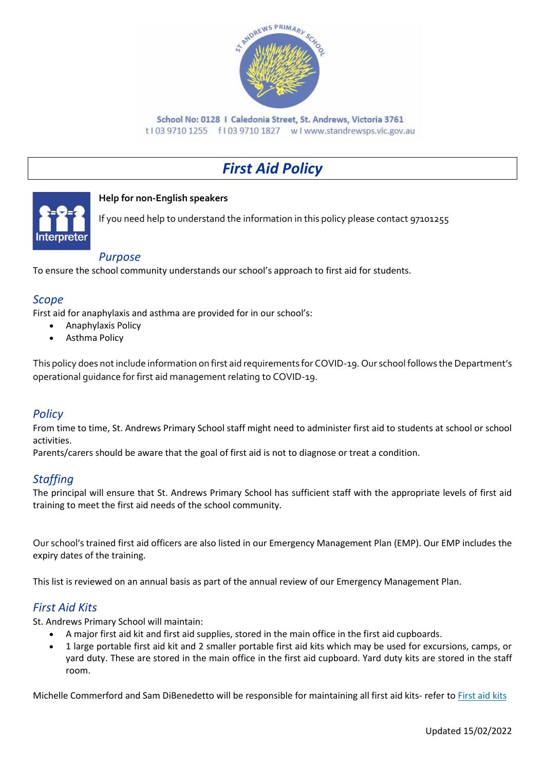

School No: 0128 | Caledonia Street, St. Andrews, Victoria 3761 t103 9710 1255 f103 9710 1827 wlwww.standrewsps.vic.gov.au

# *First Aid Policy*



#### **Help for non-English speakers**

If you need help to understand the information in this policy please contact 97101255

#### *Purpose*

To ensure the school community understands our school's approach to first aid for students.

## *Scope*

First aid for anaphylaxis and asthma are provided for in our school's:

- Anaphylaxis Policy
- Asthma Policy

This policy does not include information on first aid requirements for COVID-19. Our school follows the Department's operational guidance for first aid management relating to COVID-19.

## *Policy*

From time to time, St. Andrews Primary School staff might need to administer first aid to students at school or school activities.

Parents/carers should be aware that the goal of first aid is not to diagnose or treat a condition.

## *Staffing*

The principal will ensure that St. Andrews Primary School has sufficient staff with the appropriate levels of first aid training to meet the first aid needs of the school community.

Our school's trained first aid officers are also listed in our Emergency Management Plan (EMP). Our EMP includes the expiry dates of the training.

This list is reviewed on an annual basis as part of the annual review of our Emergency Management Plan.

## *First Aid Kits*

St. Andrews Primary School will maintain:

- A major first aid kit and first aid supplies, stored in the main office in the first aid cupboards.
- 1 large portable first aid kit and 2 smaller portable first aid kits which may be used for excursions, camps, or yard duty. These are stored in the main office in the first aid cupboard. Yard duty kits are stored in the staff room.

Michelle Commerford and Sam DiBenedetto will be responsible for maintaining all first aid kits- refer to [First aid kits](https://www2.education.vic.gov.au/pal/first-aid-students-and-staff/guidance/first-aid-kits)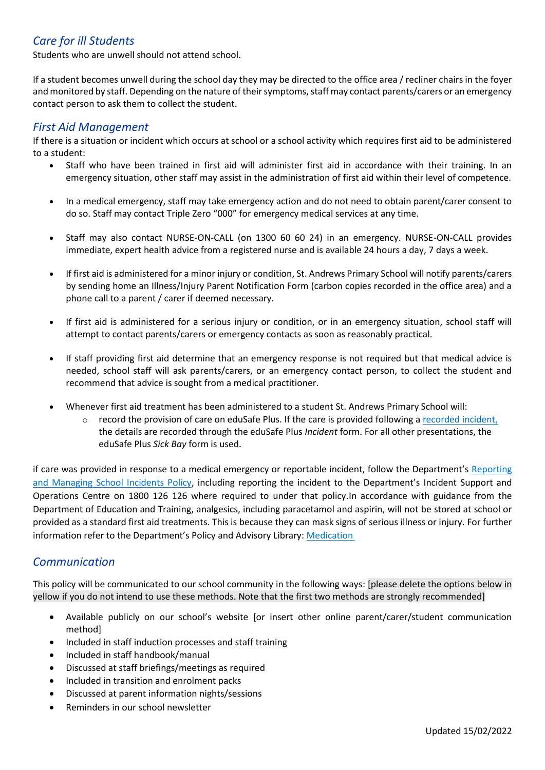## *Care for ill Students*

Students who are unwell should not attend school.

If a student becomes unwell during the school day they may be directed to the office area / recliner chairs in the foyer and monitored by staff. Depending on the nature of their symptoms, staff may contact parents/carers or an emergency contact person to ask them to collect the student.

#### *First Aid Management*

If there is a situation or incident which occurs at school or a school activity which requires first aid to be administered to a student:

- Staff who have been trained in first aid will administer first aid in accordance with their training. In an emergency situation, other staff may assist in the administration of first aid within their level of competence.
- In a medical emergency, staff may take emergency action and do not need to obtain parent/carer consent to do so. Staff may contact Triple Zero "000" for emergency medical services at any time.
- Staff may also contact NURSE-ON-CALL (on 1300 60 60 24) in an emergency. NURSE-ON-CALL provides immediate, expert health advice from a registered nurse and is available 24 hours a day, 7 days a week.
- If first aid is administered for a minor injury or condition, St. Andrews Primary School will notify parents/carers by sending home an Illness/Injury Parent Notification Form (carbon copies recorded in the office area) and a phone call to a parent / carer if deemed necessary.
- If first aid is administered for a serious injury or condition, or in an emergency situation, school staff will attempt to contact parents/carers or emergency contacts as soon as reasonably practical.
- If staff providing first aid determine that an emergency response is not required but that medical advice is needed, school staff will ask parents/carers, or an emergency contact person, to collect the student and recommend that advice is sought from a medical practitioner.
- Whenever first aid treatment has been administered to a student St. Andrews Primary School will:
	- record the provision of care on eduSafe Plus. If the care is provided following a [recorded incident](https://www2.education.vic.gov.au/pal/reporting-and-managing-school-incidents-including-emergencies/policy), the details are recorded through the eduSafe Plus *Incident* form. For all other presentations, the eduSafe Plus *Sick Bay* form is used.

if care was provided in response to a medical emergency or reportable incident, follow the Department's [Reporting](https://www2.education.vic.gov.au/pal/reporting-and-managing-school-incidents-including-emergencies/policy)  [and Managing School Incidents Policy](https://www2.education.vic.gov.au/pal/reporting-and-managing-school-incidents-including-emergencies/policy), including reporting the incident to the Department's Incident Support and Operations Centre on 1800 126 126 where required to under that policy.In accordance with guidance from the Department of Education and Training, analgesics, including paracetamol and aspirin, will not be stored at school or provided as a standard first aid treatments. This is because they can mask signs of serious illness or injury. For further information refer to the Department's Policy and Advisory Library: [Medication](https://www2.education.vic.gov.au/pal/medication/policy)

## *Communication*

This policy will be communicated to our school community in the following ways: [please delete the options below in yellow if you do not intend to use these methods. Note that the first two methods are strongly recommended]

- Available publicly on our school's website [or insert other online parent/carer/student communication method]
- Included in staff induction processes and staff training
- Included in staff handbook/manual
- Discussed at staff briefings/meetings as required
- Included in transition and enrolment packs
- Discussed at parent information nights/sessions
- Reminders in our school newsletter